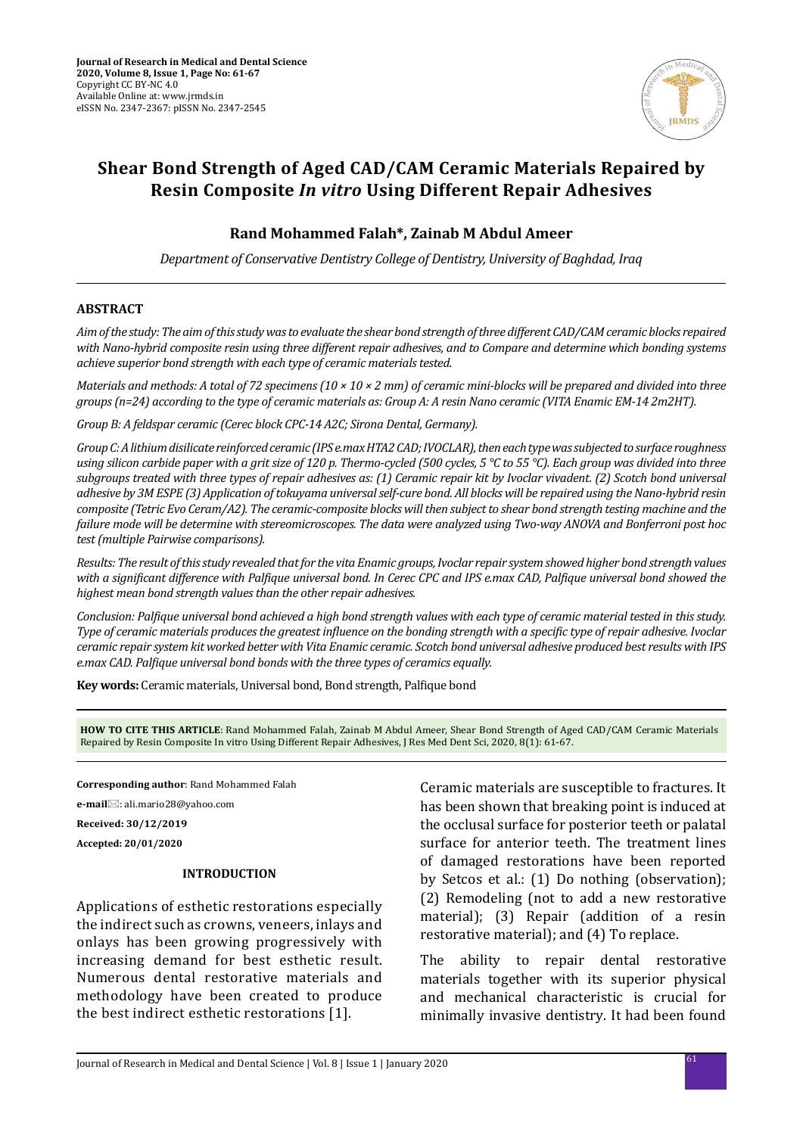

# **Shear Bond Strength of Aged CAD/CAM Ceramic Materials Repaired by Resin Composite** *In vitro* **Using Different Repair Adhesives**

# **Rand Mohammed Falah\*, Zainab M Abdul Ameer**

*Department of Conservative Dentistry College of Dentistry, University of Baghdad, Iraq*

## **ABSTRACT**

*Aim of the study: The aim of this study was to evaluate the shear bond strength of three different CAD/CAM ceramic blocks repaired with Nano-hybrid composite resin using three different repair adhesives, and to Compare and determine which bonding systems achieve superior bond strength with each type of ceramic materials tested.* 

*Materials and methods: A total of 72 specimens (10 × 10 × 2 mm) of ceramic mini-blocks will be prepared and divided into three groups (n=24) according to the type of ceramic materials as: Group A: A resin Nano ceramic (VITA Enamic EM-14 2m2HT).*

*Group B: A feldspar ceramic (Cerec block CPC-14 A2C; Sirona Dental, Germany).*

*Group C: A lithium disilicate reinforced ceramic (IPS e.max HTA2 CAD; IVOCLAR), then each type was subjected to surface roughness using silicon carbide paper with a grit size of 120 p. Thermo-cycled (500 cycles, 5 °C to 55 °C). Each group was divided into three subgroups treated with three types of repair adhesives as: (1) Ceramic repair kit by Ivoclar vivadent. (2) Scotch bond universal adhesive by 3M ESPE (3) Application of tokuyama universal self-cure bond. All blocks will be repaired using the Nano-hybrid resin composite (Tetric Evo Ceram/A2). The ceramic-composite blocks will then subject to shear bond strength testing machine and the failure mode will be determine with stereomicroscopes. The data were analyzed using Two-way ANOVA and Bonferroni post hoc test (multiple Pairwise comparisons).* 

*Results: The result of this study revealed that for the vita Enamic groups, Ivoclar repair system showed higher bond strength values with a significant difference with Palfique universal bond. In Cerec CPC and IPS e.max CAD, Palfique universal bond showed the highest mean bond strength values than the other repair adhesives.* 

*Conclusion: Palfique universal bond achieved a high bond strength values with each type of ceramic material tested in this study. Type of ceramic materials produces the greatest influence on the bonding strength with a specific type of repair adhesive. Ivoclar ceramic repair system kit worked better with Vita Enamic ceramic. Scotch bond universal adhesive produced best results with IPS e.max CAD. Palfique universal bond bonds with the three types of ceramics equally.*

**Key words:** Ceramic materials, Universal bond, Bond strength, Palfique bond

**HOW TO CITE THIS ARTICLE**: Rand Mohammed Falah, Zainab M Abdul Ameer, Shear Bond Strength of Aged CAD/CAM Ceramic Materials Repaired by Resin Composite In vitro Using Different Repair Adhesives, J Res Med Dent Sci, 2020, 8(1): 61-67.

**Corresponding author**: Rand Mohammed Falah

**e-mail**: ali.mario28@yahoo.com

**Received: 30/12/2019**

**Accepted: 20/01/2020**

#### **INTRODUCTION**

Applications of esthetic restorations especially the indirect such as crowns, veneers, inlays and onlays has been growing progressively with increasing demand for best esthetic result. Numerous dental restorative materials and methodology have been created to produce the best indirect esthetic restorations [1].

Ceramic materials are susceptible to fractures. It has been shown that breaking point is induced at the occlusal surface for posterior teeth or palatal surface for anterior teeth. The treatment lines of damaged restorations have been reported by Setcos et al.: (1) Do nothing (observation); (2) Remodeling (not to add a new restorative material); (3) Repair (addition of a resin restorative material); and (4) To replace.

The ability to repair dental restorative materials together with its superior physical and mechanical characteristic is crucial for minimally invasive dentistry. It had been found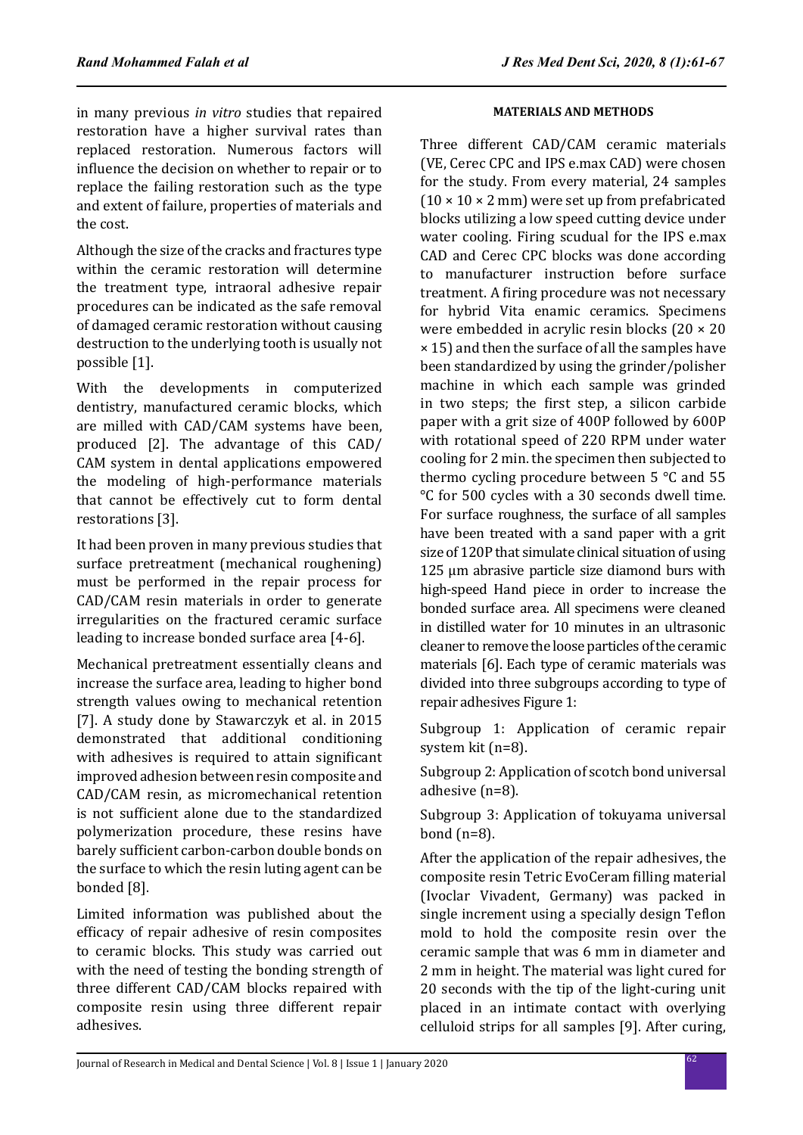in many previous *in vitro* studies that repaired restoration have a higher survival rates than replaced restoration. Numerous factors will influence the decision on whether to repair or to replace the failing restoration such as the type and extent of failure, properties of materials and the cost.

Although the size of the cracks and fractures type within the ceramic restoration will determine the treatment type, intraoral adhesive repair procedures can be indicated as the safe removal of damaged ceramic restoration without causing destruction to the underlying tooth is usually not possible [1].

With the developments in computerized dentistry, manufactured ceramic blocks, which are milled with CAD/CAM systems have been, produced [2]. The advantage of this CAD/ CAM system in dental applications empowered the modeling of high-performance materials that cannot be effectively cut to form dental restorations [3].

It had been proven in many previous studies that surface pretreatment (mechanical roughening) must be performed in the repair process for CAD/CAM resin materials in order to generate irregularities on the fractured ceramic surface leading to increase bonded surface area [4-6].

Mechanical pretreatment essentially cleans and increase the surface area, leading to higher bond strength values owing to mechanical retention [7]. A study done by Stawarczyk et al. in 2015 demonstrated that additional conditioning with adhesives is required to attain significant improved adhesion between resin composite and CAD/CAM resin, as micromechanical retention is not sufficient alone due to the standardized polymerization procedure, these resins have barely sufficient carbon-carbon double bonds on the surface to which the resin luting agent can be bonded [8].

Limited information was published about the efficacy of repair adhesive of resin composites to ceramic blocks. This study was carried out with the need of testing the bonding strength of three different CAD/CAM blocks repaired with composite resin using three different repair adhesives.

# **MATERIALS AND METHODS**

Three different CAD/CAM ceramic materials (VE, Cerec CPC and IPS e.max CAD) were chosen for the study. From every material, 24 samples  $(10 \times 10 \times 2 \text{ mm})$  were set up from prefabricated blocks utilizing a low speed cutting device under water cooling. Firing scudual for the IPS e.max CAD and Cerec CPC blocks was done according to manufacturer instruction before surface treatment. A firing procedure was not necessary for hybrid Vita enamic ceramics. Specimens were embedded in acrylic resin blocks (20 × 20 × 15) and then the surface of all the samples have been standardized by using the grinder/polisher machine in which each sample was grinded in two steps; the first step, a silicon carbide paper with a grit size of 400P followed by 600P with rotational speed of 220 RPM under water cooling for 2 min. the specimen then subjected to thermo cycling procedure between 5 °C and 55 °C for 500 cycles with a 30 seconds dwell time. For surface roughness, the surface of all samples have been treated with a sand paper with a grit size of 120P that simulate clinical situation of using 125 μm abrasive particle size diamond burs with high-speed Hand piece in order to increase the bonded surface area. All specimens were cleaned in distilled water for 10 minutes in an ultrasonic cleaner to remove the loose particles of the ceramic materials [6]. Each type of ceramic materials was divided into three subgroups according to type of repair adhesives Figure 1:

Subgroup 1: Application of ceramic repair system kit (n=8).

Subgroup 2: Application of scotch bond universal adhesive (n=8).

Subgroup 3: Application of tokuyama universal bond (n=8).

After the application of the repair adhesives, the composite resin Tetric EvoCeram filling material (Ivoclar Vivadent, Germany) was packed in single increment using a specially design Teflon mold to hold the composite resin over the ceramic sample that was 6 mm in diameter and 2 mm in height. The material was light cured for 20 seconds with the tip of the light-curing unit placed in an intimate contact with overlying celluloid strips for all samples [9]. After curing,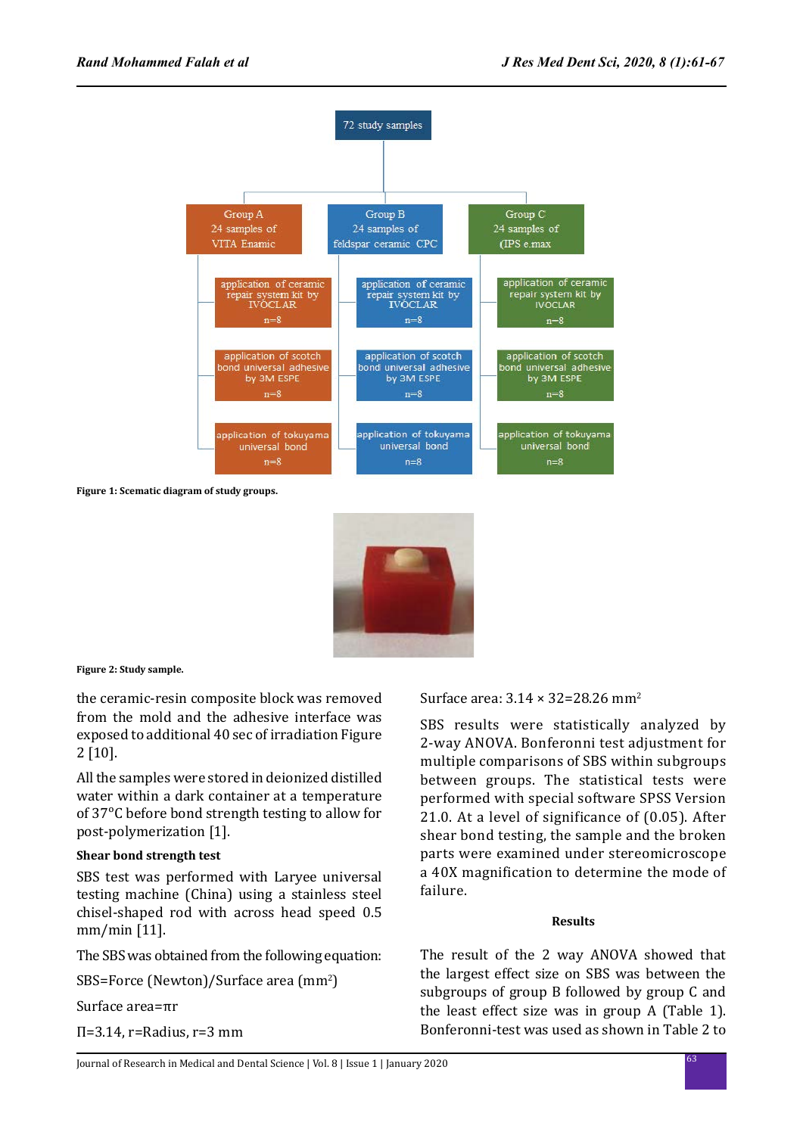

**Figure 1: Scematic diagram of study groups.**



**Figure 2: Study sample.**

the ceramic-resin composite block was removed from the mold and the adhesive interface was exposed to additional 40 sec of irradiation Figure 2 [10].

All the samples were stored in deionized distilled water within a dark container at a temperature of 37ᵒC before bond strength testing to allow for post-polymerization [1].

## **Shear bond strength test**

SBS test was performed with Laryee universal testing machine (China) using a stainless steel chisel-shaped rod with across head speed 0.5 mm/min [11].

The SBS was obtained from the following equation:

SBS=Force (Newton)/Surface area (mm<sup>2</sup>)

Surface area=πr

Π=3.14, r=Radius, r=3 mm

Surface area:  $3.14 \times 32 = 28.26$  mm<sup>2</sup>

SBS results were statistically analyzed by 2-way ANOVA. Bonferonni test adjustment for multiple comparisons of SBS within subgroups between groups. The statistical tests were performed with special software SPSS Version 21.0. At a level of significance of (0.05). After shear bond testing, the sample and the broken parts were examined under stereomicroscope a 40X magnification to determine the mode of failure.

## **Results**

The result of the 2 way ANOVA showed that the largest effect size on SBS was between the subgroups of group B followed by group C and the least effect size was in group A (Table 1). Bonferonni-test was used as shown in Table 2 to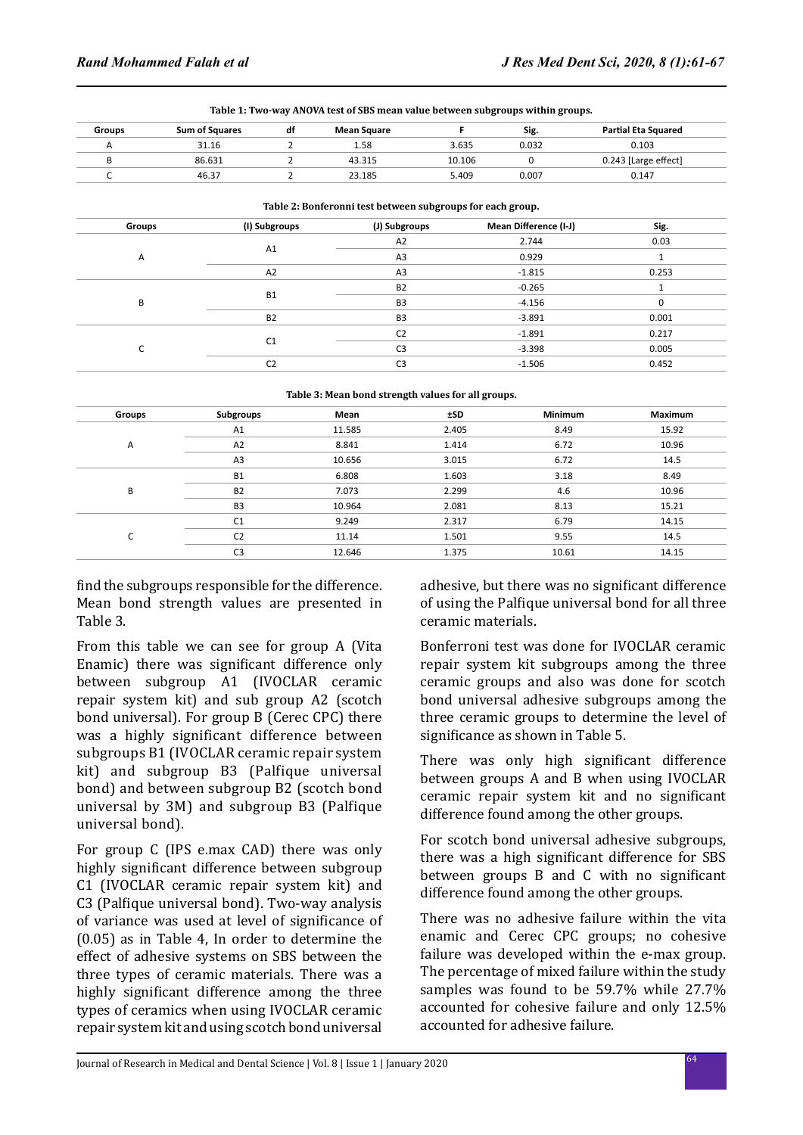| <b>Groups</b> | <b>Sum of Squares</b> | df | <b>Mean Square</b> |        | Sig.  | Partial Eta Squared  |
|---------------|-----------------------|----|--------------------|--------|-------|----------------------|
|               | 31.16                 |    | 1.58               | 3.635  | 0.032 | 0.103                |
|               | 86.631                |    | 43.315             | 10.106 |       | 0.243 [Large effect] |
|               | 46.37                 |    | 23.185             | 5.409  | 0.007 | 0.147                |

| Table 2: Bonferonni test between subgroups for each group. |                        |                |                       |          |  |
|------------------------------------------------------------|------------------------|----------------|-----------------------|----------|--|
| Groups                                                     | (I) Subgroups          | (J) Subgroups  | Mean Difference (I-J) | Sig.     |  |
|                                                            |                        | A2             | 2.744                 | 0.03     |  |
| Α                                                          | A1                     | A3             | 0.929                 |          |  |
|                                                            | A2                     | A <sub>3</sub> | $-1.815$              | 0.253    |  |
|                                                            | <b>B1</b><br><b>B2</b> | <b>B2</b>      | $-0.265$              |          |  |
| B                                                          |                        | B <sub>3</sub> | $-4.156$              | $\Omega$ |  |
|                                                            |                        | B <sub>3</sub> | $-3.891$              | 0.001    |  |
| L.                                                         | C1                     | C <sub>2</sub> | $-1.891$              | 0.217    |  |
|                                                            |                        | C <sub>3</sub> | $-3.398$              | 0.005    |  |
|                                                            | C <sub>2</sub>         | C <sub>3</sub> | $-1.506$              | 0.452    |  |

**Table 3: Mean bond strength values for all groups.**

| Groups | Subgroups      | Mean   | ±SD   | <b>Minimum</b> | <b>Maximum</b> |
|--------|----------------|--------|-------|----------------|----------------|
|        | A1             | 11.585 | 2.405 | 8.49           | 15.92          |
| Α      | A <sub>2</sub> | 8.841  | 1.414 | 6.72           | 10.96          |
|        | A <sub>3</sub> | 10.656 | 3.015 | 6.72           | 14.5           |
| B      | <b>B1</b>      | 6.808  | 1.603 | 3.18           | 8.49           |
|        | <b>B2</b>      | 7.073  | 2.299 | 4.6            | 10.96          |
|        | B <sub>3</sub> | 10.964 | 2.081 | 8.13           | 15.21          |
| C<br>J | C <sub>1</sub> | 9.249  | 2.317 | 6.79           | 14.15          |
|        | C <sub>2</sub> | 11.14  | 1.501 | 9.55           | 14.5           |
|        | C <sub>3</sub> | 12.646 | 1.375 | 10.61          | 14.15          |

find the subgroups responsible for the difference. Mean bond strength values are presented in Table 3.

From this table we can see for group A (Vita Enamic) there was significant difference only between subgroup A1 (IVOCLAR ceramic repair system kit) and sub group A2 (scotch bond universal). For group B (Cerec CPC) there was a highly significant difference between subgroups B1 (IVOCLAR ceramic repair system kit) and subgroup B3 (Palfique universal bond) and between subgroup B2 (scotch bond universal by 3M) and subgroup B3 (Palfique universal bond).

For group C (IPS e.max CAD) there was only highly significant difference between subgroup C1 (IVOCLAR ceramic repair system kit) and C3 (Palfique universal bond). Two-way analysis of variance was used at level of significance of (0.05) as in Table 4, In order to determine the effect of adhesive systems on SBS between the three types of ceramic materials. There was a highly significant difference among the three types of ceramics when using IVOCLAR ceramic repair system kit and using scotch bond universal adhesive, but there was no significant difference of using the Palfique universal bond for all three ceramic materials.

Bonferroni test was done for IVOCLAR ceramic repair system kit subgroups among the three ceramic groups and also was done for scotch bond universal adhesive subgroups among the three ceramic groups to determine the level of significance as shown in Table 5.

There was only high significant difference between groups A and B when using IVOCLAR ceramic repair system kit and no significant difference found among the other groups.

For scotch bond universal adhesive subgroups, there was a high significant difference for SBS between groups B and C with no significant difference found among the other groups.

There was no adhesive failure within the vita enamic and Cerec CPC groups; no cohesive failure was developed within the e-max group. The percentage of mixed failure within the study samples was found to be 59.7% while 27.7% accounted for cohesive failure and only 12.5% accounted for adhesive failure.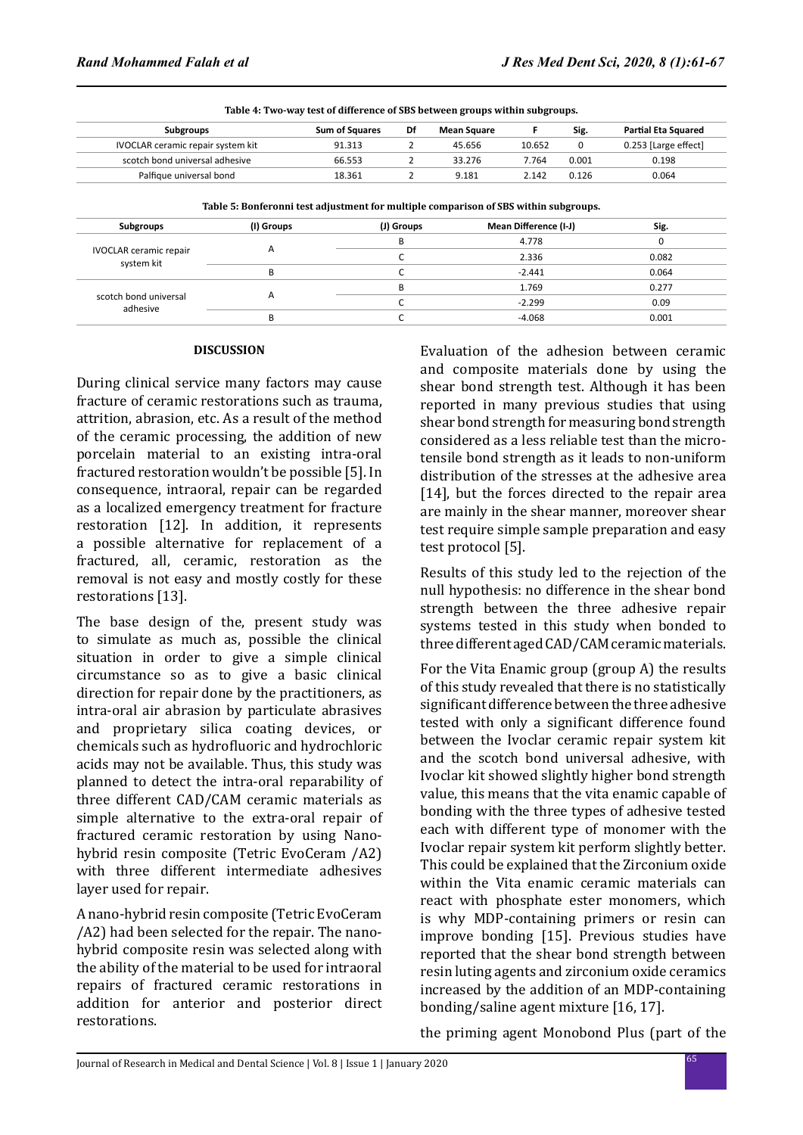| <b>Subgroups</b>                  | <b>Sum of Squares</b> | Df | <b>Mean Square</b> |        | Sig.  | <b>Partial Eta Squared</b> |
|-----------------------------------|-----------------------|----|--------------------|--------|-------|----------------------------|
| IVOCLAR ceramic repair system kit | 91.313                |    | 45.656             | 10.652 |       | 0.253 [Large effect]       |
| scotch bond universal adhesive    | 66.553                |    | 33.276             | 7.764  | 0.001 | 0.198                      |
| Palfique universal bond           | 18.361                |    | 9.181              | 2.142  | 0.126 | 0.064                      |

| Toble E. Donforonni toot adjustment for multiple companison of CDC within subgroups |  |  |
|-------------------------------------------------------------------------------------|--|--|

| Table 5. Dollet olin test aujustment for multiple comparison of 5D5 within subgroups. |                         |            |                       |       |  |
|---------------------------------------------------------------------------------------|-------------------------|------------|-----------------------|-------|--|
| <b>Subgroups</b>                                                                      | (I) Groups              | (J) Groups | Mean Difference (I-J) | Sig.  |  |
|                                                                                       | $\overline{\mathsf{A}}$ |            | 4.778                 |       |  |
| <b>IVOCLAR</b> ceramic repair<br>system kit                                           |                         |            | 2.336                 | 0.082 |  |
|                                                                                       |                         |            | $-2.441$              | 0.064 |  |
|                                                                                       | $\overline{\mathsf{A}}$ | В          | 1.769                 | 0.277 |  |
| scotch bond universal<br>adhesive                                                     |                         |            | $-2.299$              | 0.09  |  |
|                                                                                       |                         |            | $-4.068$              | 0.001 |  |

#### **DISCUSSION**

During clinical service many factors may cause fracture of ceramic restorations such as trauma, attrition, abrasion, etc. As a result of the method of the ceramic processing, the addition of new porcelain material to an existing intra-oral fractured restoration wouldn't be possible [5]. In consequence, intraoral, repair can be regarded as a localized emergency treatment for fracture restoration [12]. In addition, it represents a possible alternative for replacement of a fractured, all, ceramic, restoration as the removal is not easy and mostly costly for these restorations [13].

The base design of the, present study was to simulate as much as, possible the clinical situation in order to give a simple clinical circumstance so as to give a basic clinical direction for repair done by the practitioners, as intra-oral air abrasion by particulate abrasives and proprietary silica coating devices, or chemicals such as hydrofluoric and hydrochloric acids may not be available. Thus, this study was planned to detect the intra-oral reparability of three different CAD/CAM ceramic materials as simple alternative to the extra-oral repair of fractured ceramic restoration by using Nanohybrid resin composite (Tetric EvoCeram /A2) with three different intermediate adhesives layer used for repair.

A nano-hybrid resin composite (Tetric EvoCeram /A2) had been selected for the repair. The nanohybrid composite resin was selected along with the ability of the material to be used for intraoral repairs of fractured ceramic restorations in addition for anterior and posterior direct restorations.

Evaluation of the adhesion between ceramic and composite materials done by using the shear bond strength test. Although it has been reported in many previous studies that using shear bond strength for measuring bond strength considered as a less reliable test than the microtensile bond strength as it leads to non-uniform distribution of the stresses at the adhesive area [14], but the forces directed to the repair area are mainly in the shear manner, moreover shear test require simple sample preparation and easy test protocol [5].

Results of this study led to the rejection of the null hypothesis: no difference in the shear bond strength between the three adhesive repair systems tested in this study when bonded to three different aged CAD/CAM ceramic materials.

For the Vita Enamic group (group A) the results of this study revealed that there is no statistically significant difference between the three adhesive tested with only a significant difference found between the Ivoclar ceramic repair system kit and the scotch bond universal adhesive, with Ivoclar kit showed slightly higher bond strength value, this means that the vita enamic capable of bonding with the three types of adhesive tested each with different type of monomer with the Ivoclar repair system kit perform slightly better. This could be explained that the Zirconium oxide within the Vita enamic ceramic materials can react with phosphate ester monomers, which is why MDP-containing primers or resin can improve bonding [15]. Previous studies have reported that the shear bond strength between resin luting agents and zirconium oxide ceramics increased by the addition of an MDP-containing bonding/saline agent mixture [16, 17].

the priming agent Monobond Plus (part of the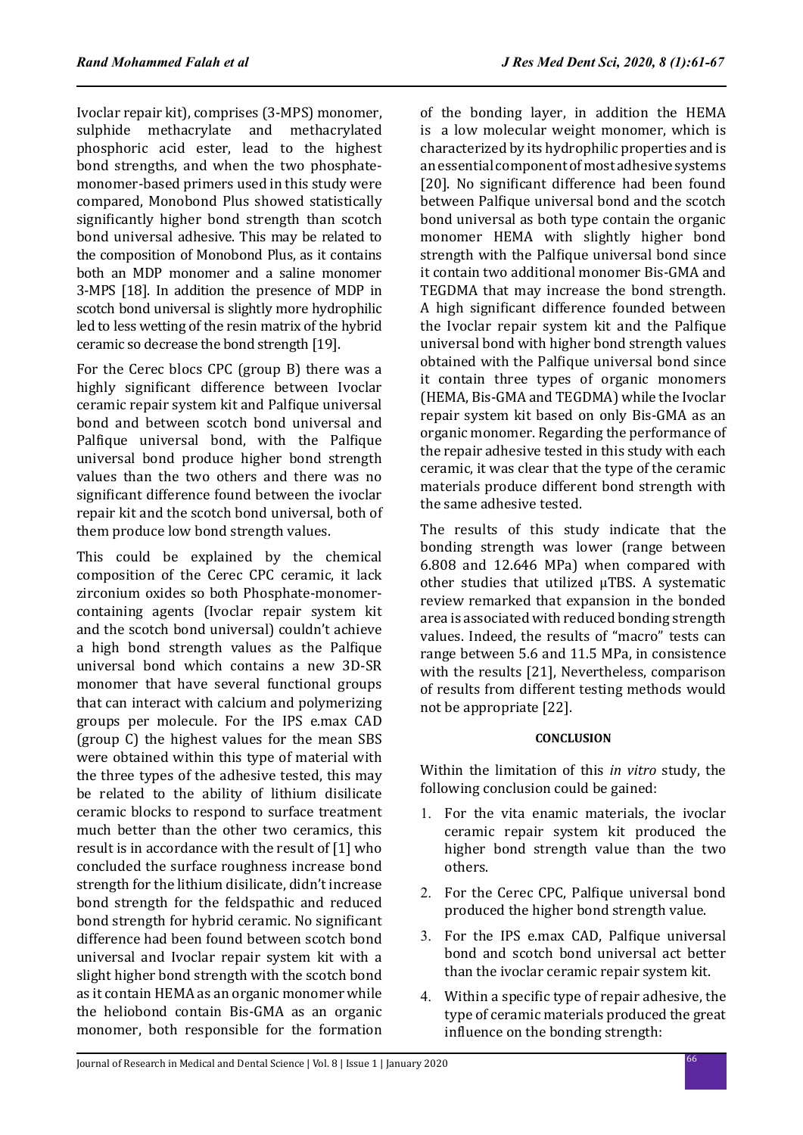Ivoclar repair kit), comprises (3-MPS) monomer, sulphide methacrylate and methacrylated phosphoric acid ester, lead to the highest bond strengths, and when the two phosphatemonomer-based primers used in this study were compared, Monobond Plus showed statistically significantly higher bond strength than scotch bond universal adhesive. This may be related to the composition of Monobond Plus, as it contains both an MDP monomer and a saline monomer 3-MPS [18]. In addition the presence of MDP in scotch bond universal is slightly more hydrophilic led to less wetting of the resin matrix of the hybrid ceramic so decrease the bond strength [19].

For the Cerec blocs CPC (group B) there was a highly significant difference between Ivoclar ceramic repair system kit and Palfique universal bond and between scotch bond universal and Palfique universal bond, with the Palfique universal bond produce higher bond strength values than the two others and there was no significant difference found between the ivoclar repair kit and the scotch bond universal, both of them produce low bond strength values.

This could be explained by the chemical composition of the Cerec CPC ceramic, it lack zirconium oxides so both Phosphate-monomercontaining agents (Ivoclar repair system kit and the scotch bond universal) couldn't achieve a high bond strength values as the Palfique universal bond which contains a new 3D-SR monomer that have several functional groups that can interact with calcium and polymerizing groups per molecule. For the IPS e.max CAD (group C) the highest values for the mean SBS were obtained within this type of material with the three types of the adhesive tested, this may be related to the ability of lithium disilicate ceramic blocks to respond to surface treatment much better than the other two ceramics, this result is in accordance with the result of [1] who concluded the surface roughness increase bond strength for the lithium disilicate, didn't increase bond strength for the feldspathic and reduced bond strength for hybrid ceramic. No significant difference had been found between scotch bond universal and Ivoclar repair system kit with a slight higher bond strength with the scotch bond as it contain HEMA as an organic monomer while the heliobond contain Bis-GMA as an organic monomer, both responsible for the formation of the bonding layer, in addition the HEMA is a low molecular weight monomer, which is characterized by its hydrophilic properties and is an essential component of most adhesive systems [20]. No significant difference had been found between Palfique universal bond and the scotch bond universal as both type contain the organic monomer HEMA with slightly higher bond strength with the Palfique universal bond since it contain two additional monomer Bis-GMA and TEGDMA that may increase the bond strength. A high significant difference founded between the Ivoclar repair system kit and the Palfique universal bond with higher bond strength values obtained with the Palfique universal bond since it contain three types of organic monomers (HEMA, Bis-GMA and TEGDMA) while the Ivoclar repair system kit based on only Bis-GMA as an organic monomer. Regarding the performance of the repair adhesive tested in this study with each ceramic, it was clear that the type of the ceramic materials produce different bond strength with the same adhesive tested.

The results of this study indicate that the bonding strength was lower (range between 6.808 and 12.646 MPa) when compared with other studies that utilized μTBS. A systematic review remarked that expansion in the bonded area is associated with reduced bonding strength values. Indeed, the results of "macro" tests can range between 5.6 and 11.5 MPa, in consistence with the results [21], Nevertheless, comparison of results from different testing methods would not be appropriate [22].

## **CONCLUSION**

Within the limitation of this *in vitro* study, the following conclusion could be gained:

- 1. For the vita enamic materials, the ivoclar ceramic repair system kit produced the higher bond strength value than the two others.
- 2. For the Cerec CPC, Palfique universal bond produced the higher bond strength value.
- 3. For the IPS e.max CAD, Palfique universal bond and scotch bond universal act better than the ivoclar ceramic repair system kit.
- 4. Within a specific type of repair adhesive, the type of ceramic materials produced the great influence on the bonding strength: